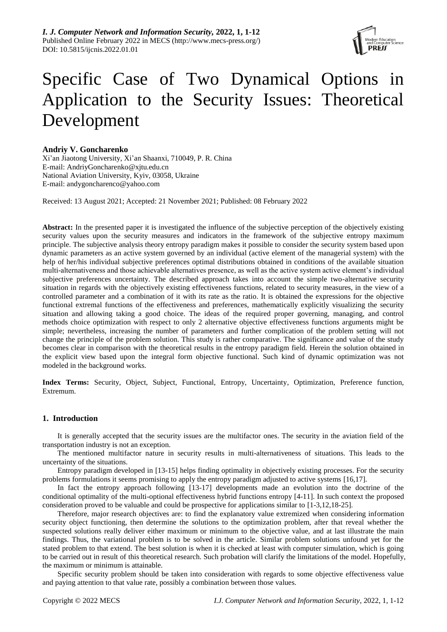

# Specific Case of Two Dynamical Options in Application to the Security Issues: Theoretical Development

# **Andriy V. Goncharenko**

Xi'an Jiaotong University, Xi'an Shaanxi, 710049, P. R. China E-mail: AndriyGoncharenko@xjtu.edu.cn National Aviation University, Kyiv, 03058, Ukraine E-mail: andygoncharenco@yahoo.com

Received: 13 August 2021; Accepted: 21 November 2021; Published: 08 February 2022

**Abstract:** In the presented paper it is investigated the influence of the subjective perception of the objectively existing security values upon the security measures and indicators in the framework of the subjective entropy maximum principle. The subjective analysis theory entropy paradigm makes it possible to consider the security system based upon dynamic parameters as an active system governed by an individual (active element of the managerial system) with the help of her/his individual subjective preferences optimal distributions obtained in conditions of the available situation multi-alternativeness and those achievable alternatives presence, as well as the active system active element's individual subjective preferences uncertainty. The described approach takes into account the simple two-alternative security situation in regards with the objectively existing effectiveness functions, related to security measures, in the view of a controlled parameter and a combination of it with its rate as the ratio. It is obtained the expressions for the objective functional extremal functions of the effectiveness and preferences, mathematically explicitly visualizing the security situation and allowing taking a good choice. The ideas of the required proper governing, managing, and control methods choice optimization with respect to only 2 alternative objective effectiveness functions arguments might be simple; nevertheless, increasing the number of parameters and further complication of the problem setting will not change the principle of the problem solution. This study is rather comparative. The significance and value of the study becomes clear in comparison with the theoretical results in the entropy paradigm field. Herein the solution obtained in the explicit view based upon the integral form objective functional. Such kind of dynamic optimization was not modeled in the background works.

**Index Terms:** Security, Object, Subject, Functional, Entropy, Uncertainty, Optimization, Preference function, Extremum.

# **1. Introduction**

It is generally accepted that the security issues are the multifactor ones. The security in the aviation field of the transportation industry is not an exception.

The mentioned multifactor nature in security results in multi-alternativeness of situations. This leads to the uncertainty of the situations.

Entropy paradigm developed in [13-15] helps finding optimality in objectively existing processes. For the security problems formulations it seems promising to apply the entropy paradigm adjusted to active systems [16,17].

In fact the entropy approach following [13-17] developments made an evolution into the doctrine of the conditional optimality of the multi-optional effectiveness hybrid functions entropy [4-11]. In such context the proposed consideration proved to be valuable and could be prospective for applications similar to [1-3,12,18-25].

Therefore, major research objectives are: to find the explanatory value extremized when considering information security object functioning, then determine the solutions to the optimization problem, after that reveal whether the suspected solutions really deliver either maximum or minimum to the objective value, and at last illustrate the main findings. Thus, the variational problem is to be solved in the article. Similar problem solutions unfound yet for the stated problem to that extend. The best solution is when it is checked at least with computer simulation, which is going to be carried out in result of this theoretical research. Such probation will clarify the limitations of the model. Hopefully, the maximum or minimum is attainable.

Specific security problem should be taken into consideration with regards to some objective effectiveness value and paying attention to that value rate, possibly a combination between those values.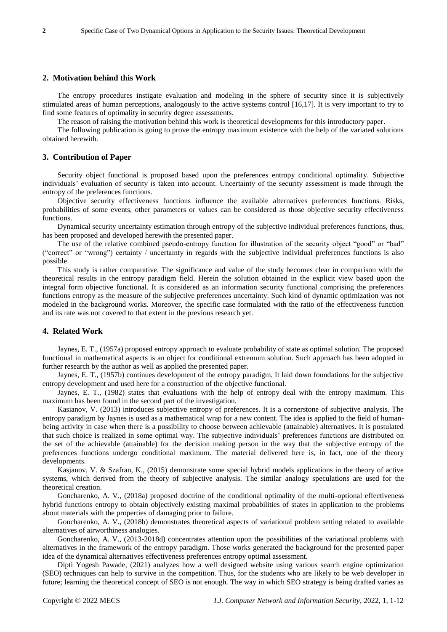### **2. Motivation behind this Work**

The entropy procedures instigate evaluation and modeling in the sphere of security since it is subjectively stimulated areas of human perceptions, analogously to the active systems control [16,17]. It is very important to try to find some features of optimality in security degree assessments.

The reason of raising the motivation behind this work is theoretical developments for this introductory paper.

The following publication is going to prove the entropy maximum existence with the help of the variated solutions obtained herewith.

#### **3. Contribution of Paper**

Security object functional is proposed based upon the preferences entropy conditional optimality. Subjective individuals' evaluation of security is taken into account. Uncertainty of the security assessment is made through the entropy of the preferences functions.

Objective security effectiveness functions influence the available alternatives preferences functions. Risks, probabilities of some events, other parameters or values can be considered as those objective security effectiveness functions.

Dynamical security uncertainty estimation through entropy of the subjective individual preferences functions, thus, has been proposed and developed herewith the presented paper.

The use of the relative combined pseudo-entropy function for illustration of the security object "good" or "bad" ("correct" or "wrong") certainty / uncertainty in regards with the subjective individual preferences functions is also possible.

This study is rather comparative. The significance and value of the study becomes clear in comparison with the theoretical results in the entropy paradigm field. Herein the solution obtained in the explicit view based upon the integral form objective functional. It is considered as an information security functional comprising the preferences functions entropy as the measure of the subjective preferences uncertainty. Such kind of dynamic optimization was not modeled in the background works. Moreover, the specific case formulated with the ratio of the effectiveness function and its rate was not covered to that extent in the previous research yet.

#### **4. Related Work**

Jaynes, E. T., (1957a) proposed entropy approach to evaluate probability of state as optimal solution. The proposed functional in mathematical aspects is an object for conditional extremum solution. Such approach has been adopted in further research by the author as well as applied the presented paper.

Jaynes, E. T., (1957b) continues development of the entropy paradigm. It laid down foundations for the subjective entropy development and used here for a construction of the objective functional.

Jaynes, E. T., (1982) states that evaluations with the help of entropy deal with the entropy maximum. This maximum has been found in the second part of the investigation.

Kasianov, V. (2013) introduces subjective entropy of preferences. It is a cornerstone of subjective analysis. The entropy paradigm by Jaynes is used as a mathematical wrap for a new content. The idea is applied to the field of humanbeing activity in case when there is a possibility to choose between achievable (attainable) alternatives. It is postulated that such choice is realized in some optimal way. The subjective individuals' preferences functions are distributed on the set of the achievable (attainable) for the decision making person in the way that the subjective entropy of the preferences functions undergo conditional maximum. The material delivered here is, in fact, one of the theory developments.

Kasjanov, V. & Szafran, K., (2015) demonstrate some special hybrid models applications in the theory of active systems, which derived from the theory of subjective analysis. The similar analogy speculations are used for the theoretical creation.

Goncharenko, A. V., (2018a) proposed doctrine of the conditional optimality of the multi-optional effectiveness hybrid functions entropy to obtain objectively existing maximal probabilities of states in application to the problems about materials with the properties of damaging prior to failure.

Goncharenko, A. V., (2018b) demonstrates theoretical aspects of variational problem setting related to available alternatives of airworthiness analogies.

Goncharenko, A. V., (2013-2018d) concentrates attention upon the possibilities of the variational problems with alternatives in the framework of the entropy paradigm. Those works generated the background for the presented paper idea of the dynamical alternatives effectiveness preferences entropy optimal assessment.

Dipti Yogesh Pawade, (2021) analyzes how a well designed website using various search engine optimization (SEO) techniques can help to survive in the competition. Thus, for the students who are likely to be web developer in future; learning the theoretical concept of SEO is not enough. The way in which SEO strategy is being drafted varies as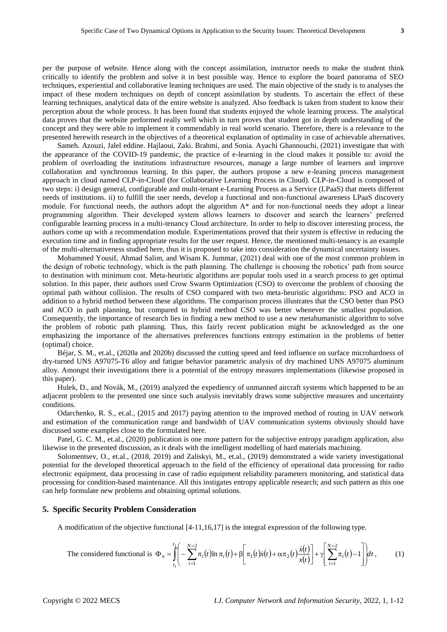per the purpose of website. Hence along with the concept assimilation, instructor needs to make the student think critically to identify the problem and solve it in best possible way. Hence to explore the board panorama of SEO techniques, experiential and collaborative leaning techniques are used. The main objective of the study is to analyses the impact of these modern techniques on depth of concept assimilation by students. To ascertain the effect of these learning techniques, analytical data of the entire website is analyzed. Also feedback is taken from student to know their perception about the whole process. It has been found that students enjoyed the whole learning process. The analytical data proves that the website performed really well which in turn proves that student got in depth understanding of the concept and they were able to implement it commendably in real world scenario. Therefore, there is a relevance to the presented herewith research in the objectives of a theoretical explanation of optimality in case of achievable alternatives.

Sameh. Azouzi, Jalel eddine. Hajlaoui, Zaki. Brahmi, and Sonia. Ayachi Ghannouchi, (2021) investigate that with the appearance of the COVID-19 pandemic, the practice of e-learning in the cloud makes it possible to: avoid the problem of overloading the institutions infrastructure resources, manage a large number of learners and improve collaboration and synchronous learning. In this paper, the authors propose a new e-leaning process management approach in cloud named CLP-in-Cloud (for Collaborative Learning Process in Cloud). CLP-in-Cloud is composed of two steps: i) design general, configurable and multi-tenant e-Learning Process as a Service (LPaaS) that meets different needs of institutions. ii) to fulfill the user needs, develop a functional and non-functional awareness LPaaS discovery module. For functional needs, the authors adopt the algorithm A\* and for non-functional needs they adopt a linear programming algorithm. Their developed system allows learners to discover and search the learners' preferred configurable learning process in a multi-tenancy Cloud architecture. In order to help to discover interesting process, the authors come up with a recommendation module. Experimentations proved that their system is effective in reducing the execution time and in finding appropriate results for the user request. Hence, the mentioned multi-tenancy is an example of the multi-alternativeness studied here, thus it is proposed to take into consideration the dynamical uncertainty issues.

Mohammed Yousif, Ahmad Salim, and Wisam K. Jummar, (2021) deal with one of the most common problem in the design of robotic technology, which is the path planning. The challenge is choosing the robotics' path from source to destination with minimum cost. Meta-heuristic algorithms are popular tools used in a search process to get optimal solution. In this paper, their authors used Crow Swarm Optimization (CSO) to overcome the problem of choosing the optimal path without collision. The results of CSO compared with two meta-heuristic algorithms: PSO and ACO in addition to a hybrid method between these algorithms. The comparison process illustrates that the CSO better than PSO and ACO in path planning, but compared to hybrid method CSO was better whenever the smallest population. Consequently, the importance of research lies in finding a new method to use a new metahumanistic algorithm to solve the problem of robotic path planning. Thus, this fairly recent publication might be acknowledged as the one emphasizing the importance of the alternatives preferences functions entropy estimation in the problems of better (optimal) choice.

Béjar, S. M., et.al., (2020a and 2020b) discussed the cutting speed and feed influence on surface microhardness of dry-turned UNS A97075-T6 alloy and fatigue behavior parametric analysis of dry machined UNS A97075 aluminum alloy. Amongst their investigations there is a potential of the entropy measures implementations (likewise proposed in this paper).

Hulek, D., and Novák, M., (2019) analyzed the expediency of unmanned aircraft systems which happened to be an adjacent problem to the presented one since such analysis inevitably draws some subjective measures and uncertainty conditions.

Odarchenko, R. S., et.al., (2015 and 2017) paying attention to the improved method of routing in UAV network and estimation of the communication range and bandwidth of UAV communication systems obviously should have discussed some examples close to the formulated here.

Patel, G. C. M., et.al., (2020) publication is one more pattern for the subjective entropy paradigm application, also likewise in the presented discussion, as it deals with the intelligent modelling of hard materials machining.

Solomentsev, O., et.al., (2018, 2019) and Zaliskyi, M., et.al., (2019) demonstrated a wide variety investigational potential for the developed theoretical approach to the field of the efficiency of operational data processing for radio electronic equipment, data processing in case of radio equipment reliability parameters monitoring, and statistical data processing for condition-based maintenance. All this instigates entropy applicable research; and such pattern as this one can help formulate new problems and obtaining optimal solutions.

#### **5. Specific Security Problem Consideration**

A modification of the objective functional [4-11,16,17] is the integral expression of the following type.

The considered functional is 
$$
\Phi_{\pi} = \int_{t_1}^{t_2} \left( -\sum_{i=1}^{N-2} \pi_i(t) \ln \pi_i(t) + \beta \left[ \pi_1(t)\dot{x}(t) + \alpha \pi_2(t) \frac{\dot{x}(t)}{x(t)} \right] + \gamma \left[ \sum_{i=1}^{N-2} \pi_i(t) - 1 \right] dt
$$
, (1)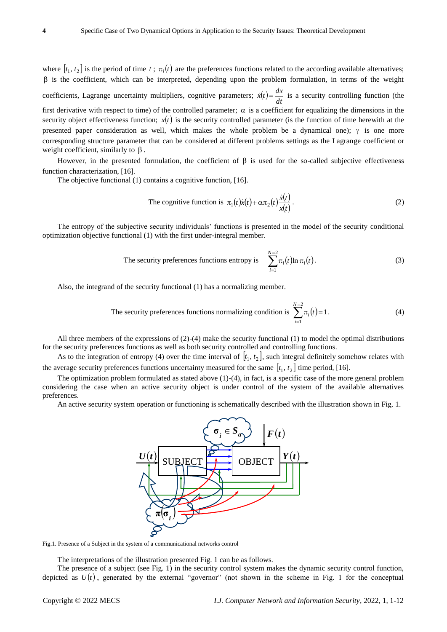where  $[t_1, t_2]$  is the period of time  $t$ ;  $\pi_i(t)$  are the preferences functions related to the according available alternatives;  $\beta$  is the coefficient, which can be interpreted, depending upon the problem formulation, in terms of the weight coefficients, Lagrange uncertainty multipliers, cognitive parameters;  $\dot{x}(t) = \frac{dx}{dt}$  $\dot{x}(t) = \frac{dx}{t}$  is a security controlling function (the first derivative with respect to time) of the controlled parameter;  $\alpha$  is a coefficient for equalizing the dimensions in the security object effectiveness function;  $x(t)$  is the security controlled parameter (is the function of time herewith at the presented paper consideration as well, which makes the whole problem be a dynamical one);  $\gamma$  is one more corresponding structure parameter that can be considered at different problems settings as the Lagrange coefficient or weight coefficient, similarly to  $\beta$ .

However, in the presented formulation, the coefficient of  $\beta$  is used for the so-called subjective effectiveness function characterization, [16].

The objective functional (1) contains a cognitive function, [16].

The cognitive function is 
$$
\pi_1(t)\dot{x}(t) + \alpha \pi_2(t)\frac{\dot{x}(t)}{x(t)}
$$
. (2)

The entropy of the subjective security individuals' functions is presented in the model of the security conditional optimization objective functional (1) with the first under-integral member.

The security preferences functions entropy is 
$$
-\sum_{i=1}^{N=2} \pi_i(t) \ln \pi_i(t).
$$
 (3)

Also, the integrand of the security functional (1) has a normalizing member.

The security preferences functions normalizing condition is 
$$
\sum_{i=1}^{N=2} \pi_i(t) = 1.
$$
 (4)

All three members of the expressions of (2)-(4) make the security functional (1) to model the optimal distributions for the security preferences functions as well as both security controlled and controlling functions.

As to the integration of entropy (4) over the time interval of  $[t_1, t_2]$ , such integral definitely somehow relates with the average security preferences functions uncertainty measured for the same  $[t_1, t_2]$  time period, [16].

The optimization problem formulated as stated above (1)-(4), in fact, is a specific case of the more general problem considering the case when an active security object is under control of the system of the available alternatives preferences.

An active security system operation or functioning is schematically described with the illustration shown in Fig. 1.



Fig.1. Presence of a Subject in the system of a communicational networks control

The interpretations of the illustration presented Fig. 1 can be as follows.

The presence of a subject (see Fig. 1) in the security control system makes the dynamic security control function, depicted as  $U(t)$ , generated by the external "governor" (not shown in the scheme in Fig. 1 for the conceptual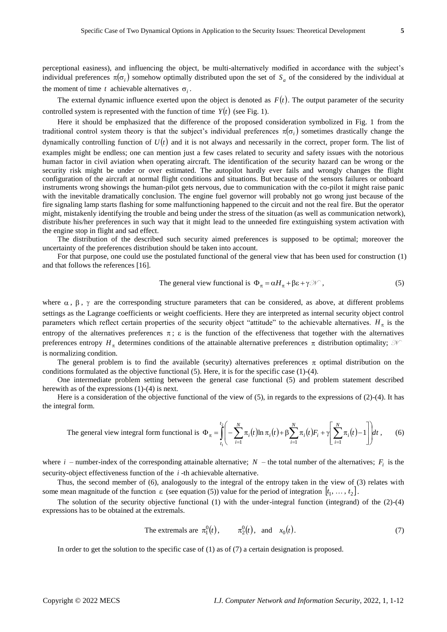perceptional easiness), and influencing the object, be multi-alternatively modified in accordance with the subject's individual preferences  $\pi(\sigma_i)$  somehow optimally distributed upon the set of  $S_a$  of the considered by the individual at the moment of time t achievable alternatives  $\sigma_i$ .

The external dynamic influence exerted upon the object is denoted as  $F(t)$ . The output parameter of the security controlled system is represented with the function of time  $Y(t)$  (see Fig. 1).

Here it should be emphasized that the difference of the proposed consideration symbolized in Fig. 1 from the traditional control system theory is that the subject's individual preferences  $\pi(\sigma_i)$  sometimes drastically change the dynamically controlling function of  $U(t)$  and it is not always and necessarily in the correct, proper form. The list of examples might be endless; one can mention just a few cases related to security and safety issues with the notorious human factor in civil aviation when operating aircraft. The identification of the security hazard can be wrong or the security risk might be under or over estimated. The autopilot hardly ever fails and wrongly changes the flight configuration of the aircraft at normal flight conditions and situations. But because of the sensors failures or onboard instruments wrong showings the human-pilot gets nervous, due to communication with the co-pilot it might raise panic with the inevitable dramatically conclusion. The engine fuel governor will probably not go wrong just because of the fire signaling lamp starts flashing for some malfunctioning happened to the circuit and not the real fire. But the operator might, mistakenly identifying the trouble and being under the stress of the situation (as well as communication network), distribute his/her preferences in such way that it might lead to the unneeded fire extinguishing system activation with the engine stop in flight and sad effect.

The distribution of the described such security aimed preferences is supposed to be optimal; moreover the uncertainty of the preferences distribution should be taken into account.

For that purpose, one could use the postulated functional of the general view that has been used for construction (1) and that follows the references [16].

The general view functional is 
$$
\Phi_{\pi} = \alpha H_{\pi} + \beta \varepsilon + \gamma \mathcal{W}
$$
, (5)

where  $\alpha$ ,  $\beta$ ,  $\gamma$  are the corresponding structure parameters that can be considered, as above, at different problems settings as the Lagrange coefficients or weight coefficients. Here they are interpreted as internal security object control parameters which reflect certain properties of the security object "attitude" to the achievable alternatives.  $H_{\pi}$  is the entropy of the alternatives preferences  $\pi$ ;  $\varepsilon$  is the function of the effectiveness that together with the alternatives preferences entropy  $H_{\pi}$  determines conditions of the attainable alternative preferences  $\pi$  distribution optimality;  $\mathcal{A}$ is normalizing condition.

The general problem is to find the available (security) alternatives preferences  $\pi$  optimal distribution on the conditions formulated as the objective functional  $(5)$ . Here, it is for the specific case  $(1)-(4)$ .

One intermediate problem setting between the general case functional (5) and problem statement described herewith as of the expressions (1)-(4) is next.

Here is a consideration of the objective functional of the view of  $(5)$ , in regards to the expressions of  $(2)-(4)$ . It has the integral form.

The general view integral form functional is 
$$
\Phi_{\pi} = \int_{t_1}^{t_2} \left( -\sum_{i=1}^{N} \pi_i(t) \ln \pi_i(t) + \beta \sum_{i=1}^{N} \pi_i(t) F_i + \gamma \left[ \sum_{i=1}^{N} \pi_i(t) - 1 \right] \right) dt
$$
, (6)

where  $i$  – number-index of the corresponding attainable alternative;  $N$  – the total number of the alternatives;  $F_i$  is the security-object effectiveness function of the *i* -th achievable alternative.

Thus, the second member of (6), analogously to the integral of the entropy taken in the view of (3) relates with some mean magnitude of the function  $\varepsilon$  (see equation (5)) value for the period of integration  $[t_1, \ldots, t_2]$ .

The solution of the security objective functional (1) with the under-integral function (integrand) of the (2)-(4) expressions has to be obtained at the extremals.

The extremals are 
$$
\pi_1^0(t)
$$
,  $\pi_2^0(t)$ , and  $x_0(t)$ . (7)

In order to get the solution to the specific case of (1) as of (7) a certain designation is proposed.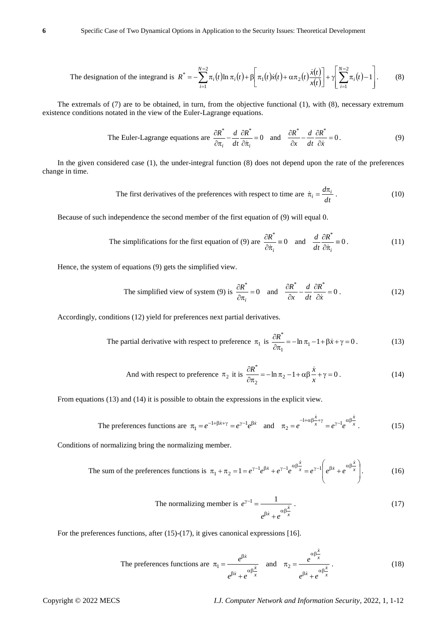The designation of the integrand is 
$$
R^* = -\sum_{i=1}^{N-2} \pi_i(t) \ln \pi_i(t) + \beta \left[ \pi_1(t)\dot{x}(t) + \alpha \pi_2(t) \frac{\dot{x}(t)}{x(t)} \right] + \gamma \left[ \sum_{i=1}^{N-2} \pi_i(t) - 1 \right].
$$
 (8)

The extremals of (7) are to be obtained, in turn, from the objective functional (1), with (8), necessary extremum existence conditions notated in the view of the Euler-Lagrange equations.

The Euler-Lagrange equations are 
$$
\frac{\partial R^*}{\partial \pi_i} - \frac{d}{dt} \frac{\partial R^*}{\partial \dot{\pi}_i} = 0
$$
 and  $\frac{\partial R^*}{\partial x} - \frac{d}{dt} \frac{\partial R^*}{\partial \dot{x}} = 0$ . (9)

In the given considered case (1), the under-integral function (8) does not depend upon the rate of the preferences change in time.

The first derivatives of the preferences with respect to time are 
$$
\dot{\pi}_i = \frac{d\pi_i}{dt}
$$
. (10)

Because of such independence the second member of the first equation of (9) will equal 0.

The simplifications for the first equation of (9) are 
$$
\frac{\partial R^*}{\partial \dot{\pi}_i} = 0
$$
 and  $\frac{d}{dt} \frac{\partial R^*}{\partial \dot{\pi}_i} = 0$ . (11)

Hence, the system of equations (9) gets the simplified view.

The simplified view of system (9) is 
$$
\frac{\partial R^*}{\partial \pi_i} = 0
$$
 and  $\frac{\partial R^*}{\partial x} - \frac{d}{dt} \frac{\partial R^*}{\partial \dot{x}} = 0$ . (12)

Accordingly, conditions (12) yield for preferences next partial derivatives.

The partial derivative with respect to preference 
$$
\pi_1
$$
 is  $\frac{\partial R^*}{\partial \pi_1} = -\ln \pi_1 - 1 + \beta \dot{x} + \gamma = 0$ . (13)

And with respect to preference 
$$
\pi_2
$$
 it is  $\frac{\partial R^*}{\partial \pi_2} = -\ln \pi_2 - 1 + \alpha \beta \frac{\dot{x}}{x} + \gamma = 0$ . (14)

From equations (13) and (14) it is possible to obtain the expressions in the explicit view.

The preferences functions are 
$$
\pi_1 = e^{-1+\beta x + \gamma} = e^{\gamma - 1}e^{\beta x}
$$
 and  $\pi_2 = e^{-1+\alpha\beta \frac{x}{x} + \gamma} = e^{\gamma - 1}e^{\alpha\beta \frac{x}{x}}$ . (15)

Conditions of normalizing bring the normalizing member.

The sum of the preferences functions is 
$$
\pi_1 + \pi_2 = 1 = e^{\gamma - 1} e^{\beta \dot{x}} + e^{\gamma - 1} e^{\alpha \beta \frac{\dot{x}}{x}} = e^{\gamma - 1} \left( e^{\beta \dot{x}} + e^{\alpha \beta \frac{\dot{x}}{x}} \right).
$$
 (16)

The normalizing member is 
$$
e^{\gamma - 1} = \frac{1}{e^{\beta \dot{x}} + e^{\alpha \beta \frac{\dot{x}}{x}}}
$$
. (17)

For the preferences functions, after (15)-(17), it gives canonical expressions [16].

The preferences functions are 
$$
\pi_1 = \frac{e^{\beta \dot{x}}}{e^{\beta \dot{x}} + e^{\alpha \beta \frac{\dot{x}}{x}}}
$$
 and  $\pi_2 = \frac{e^{\alpha \beta \frac{\dot{x}}{x}}}{e^{\beta \dot{x}} + e^{\alpha \beta \frac{\dot{x}}{x}}}$ . (18)

Copyright © 2022 MECS *I.J. Computer Network and Information Security*, 2022, 1, 1-12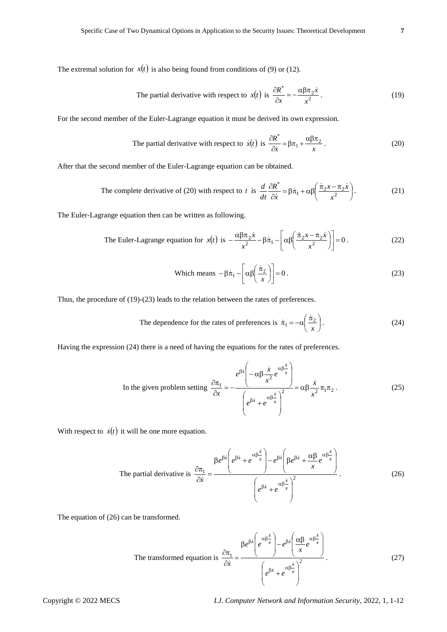The extremal solution for  $x(t)$  is also being found from conditions of (9) or (12).

The partial derivative with respect to 
$$
x(t)
$$
 is  $\frac{\partial R^*}{\partial x} = -\frac{\alpha \beta \pi_2 \dot{x}}{x^2}$ . (19)

For the second member of the Euler-Lagrange equation it must be derived its own expression.

The partial derivative with respect to 
$$
\dot{x}(t)
$$
 is  $\frac{\partial R^*}{\partial \dot{x}} = \beta \pi_1 + \frac{\alpha \beta \pi_2}{x}$ . (20)

After that the second member of the Euler-Lagrange equation can be obtained.

The complete derivative of (20) with respect to t is 
$$
\frac{d}{dt} \frac{\partial R^*}{\partial \dot{x}} = \beta \dot{\pi}_1 + \alpha \beta \left( \frac{\dot{\pi}_2 x - \pi_2 \dot{x}}{x^2} \right).
$$
 (21)

The Euler-Lagrange equation then can be written as following.

The Euler-Lagrange equation for 
$$
x(t)
$$
 is 
$$
-\frac{\alpha \beta \pi_2 \dot{x}}{x^2} - \beta \dot{\pi}_1 - \left[\alpha \beta \left(\frac{\dot{\pi}_2 x - \pi_2 \dot{x}}{x^2}\right)\right] = 0.
$$
 (22)

Which means 
$$
-\beta \dot{\pi}_1 - \left[\alpha \beta \left(\frac{\dot{\pi}_2}{x}\right)\right] = 0
$$
. (23)

Thus, the procedure of (19)-(23) leads to the relation between the rates of preferences.

The dependence for the rates of preferences is 
$$
\dot{\pi}_1 = -\alpha \left( \frac{\dot{\pi}_2}{x} \right)
$$
. (24)

Having the expression (24) there is a need of having the equations for the rates of preferences.

In the given problem setting 
$$
\frac{\partial \pi_1}{\partial x} = -\frac{e^{\beta \dot{x}} \left( -\alpha \beta \frac{\dot{x}}{x^2} e^{\alpha \beta \frac{\dot{x}}{x}} \right)}{\left( e^{\beta \dot{x}} + e^{\alpha \beta \frac{\dot{x}}{x}} \right)^2} = \alpha \beta \frac{\dot{x}}{x^2} \pi_1 \pi_2.
$$
 (25)

With respect to  $\dot{x}(t)$  it will be one more equation.

The partial derivative is 
$$
\frac{\partial \pi_1}{\partial \dot{x}} = \frac{\beta e^{\beta \dot{x}} \left( e^{\beta \dot{x}} + e^{\alpha \beta \frac{\dot{x}}{x}} \right) - e^{\beta \dot{x}} \left( \beta e^{\beta \dot{x}} + \frac{\alpha \beta}{x} e^{\alpha \beta \frac{\dot{x}}{x}} \right)}{\left( e^{\beta \dot{x}} + e^{\alpha \beta \frac{\dot{x}}{x}} \right)^2}.
$$
 (26)

The equation of (26) can be transformed.

The transformed equation is 
$$
\frac{\partial \pi_1}{\partial \dot{x}} = \frac{\beta e^{\beta \dot{x}} \left( e^{\alpha \beta \frac{\dot{x}}{x}} \right) - e^{\beta \dot{x}} \left( \frac{\alpha \beta}{x} e^{\alpha \beta \frac{\dot{x}}{x}} \right)}{\left( e^{\beta \dot{x}} + e^{\alpha \beta \frac{\dot{x}}{x}} \right)^2}.
$$
 (27)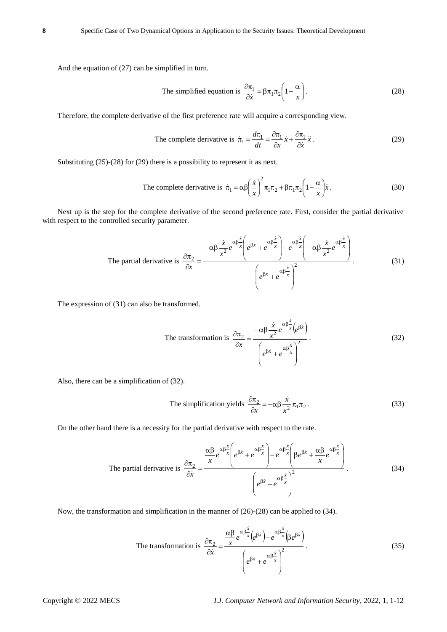And the equation of (27) can be simplified in turn.

The simplified equation is 
$$
\frac{\partial \pi_1}{\partial \dot{x}} = \beta \pi_1 \pi_2 \left( 1 - \frac{\alpha}{x} \right)
$$
. (28)

Therefore, the complete derivative of the first preference rate will acquire a corresponding view.

The complete derivative is 
$$
\dot{\pi}_1 = \frac{d\pi_1}{dt} = \frac{\partial \pi_1}{\partial x} \dot{x} + \frac{\partial \pi_1}{\partial \dot{x}} \ddot{x}
$$
. (29)

Substituting (25)-(28) for (29) there is a possibility to represent it as next.

The complete derivative is 
$$
\dot{\pi}_1 = \alpha \beta \left(\frac{\dot{x}}{x}\right)^2 \pi_1 \pi_2 + \beta \pi_1 \pi_2 \left(1 - \frac{\alpha}{x}\right) \ddot{x}
$$
. (30)

Next up is the step for the complete derivative of the second preference rate. First, consider the partial derivative with respect to the controlled security parameter.

The partial derivative is 
$$
\frac{\partial \pi_2}{\partial x} = \frac{-\alpha \beta \frac{\dot{x}}{x^2} e^{\alpha \beta \frac{\dot{x}}{x}} \left(e^{\beta \dot{x}} + e^{\alpha \beta \frac{\dot{x}}{x}}\right) - e^{\alpha \beta \frac{\dot{x}}{x}} \left(-\alpha \beta \frac{\dot{x}}{x^2} e^{\alpha \beta \frac{\dot{x}}{x}}\right)}{\left(e^{\beta \dot{x}} + e^{\alpha \beta \frac{\dot{x}}{x}}\right)^2}.
$$
(31)

The expression of (31) can also be transformed.

The transformation is 
$$
\frac{\partial \pi_2}{\partial x} = \frac{-\alpha \beta \frac{\dot{x}}{x^2} e^{\alpha \beta \frac{\dot{x}}{x}} (e^{\beta \dot{x}})}{\left( e^{\beta \dot{x}} + e^{\alpha \beta \frac{\dot{x}}{x}} \right)^2}.
$$
 (32)

Also, there can be a simplification of (32).

The simplification yields 
$$
\frac{\partial \pi_2}{\partial x} = -\alpha \beta \frac{\dot{x}}{x^2} \pi_1 \pi_2.
$$
 (33)

On the other hand there is a necessity for the partial derivative with respect to the rate.

The partial derivative is 
$$
\frac{\partial \pi_2}{\partial \dot{x}} = \frac{\frac{\alpha \beta}{x} e^{\alpha \beta \frac{\dot{x}}{x}} \left(e^{\beta \dot{x}} + e^{\alpha \beta \frac{\dot{x}}{x}}\right) - e^{\alpha \beta \frac{\dot{x}}{x}} \left(\beta e^{\beta \dot{x}} + \frac{\alpha \beta}{x} e^{\alpha \beta \frac{\dot{x}}{x}}\right)}{\left(e^{\beta \dot{x}} + e^{\alpha \beta \frac{\dot{x}}{x}}\right)^2}.
$$
 (34)

Now, the transformation and simplification in the manner of (26)-(28) can be applied to (34).

The transformation is 
$$
\frac{\partial \pi_2}{\partial \dot{x}} = \frac{\frac{\alpha \beta}{x} e^{\alpha \beta \frac{\dot{x}}{x}} (e^{\beta \dot{x}}) - e^{\alpha \beta \frac{\dot{x}}{x}} (\beta e^{\beta \dot{x}})}{\left(e^{\beta \dot{x}} + e^{\alpha \beta \frac{\dot{x}}{x}}\right)^2}.
$$
 (35)

*x*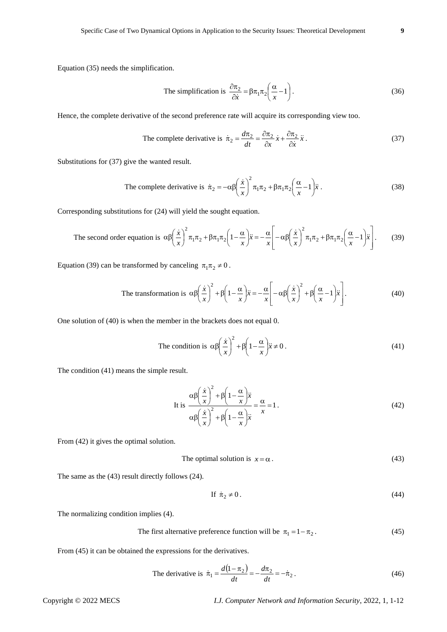Equation (35) needs the simplification.

The simplification is 
$$
\frac{\partial \pi_2}{\partial \dot{x}} = \beta \pi_1 \pi_2 \left( \frac{\alpha}{x} - 1 \right)
$$
. (36)

Hence, the complete derivative of the second preference rate will acquire its corresponding view too.

The complete derivative is 
$$
\dot{\pi}_2 = \frac{d\pi_2}{dt} = \frac{\partial \pi_2}{\partial x} \dot{x} + \frac{\partial \pi_2}{\partial \dot{x}} \ddot{x}
$$
. (37)

Substitutions for (37) give the wanted result.

The complete derivative is 
$$
\dot{\pi}_2 = -\alpha \beta \left(\frac{\dot{x}}{x}\right)^2 \pi_1 \pi_2 + \beta \pi_1 \pi_2 \left(\frac{\alpha}{x} - 1\right) \ddot{x}
$$
. (38)

Corresponding substitutions for (24) will yield the sought equation.

The second order equation is 
$$
\alpha \beta \left(\frac{\dot{x}}{x}\right)^2 \pi_1 \pi_2 + \beta \pi_1 \pi_2 \left(1 - \frac{\alpha}{x}\right) \ddot{x} = -\frac{\alpha}{x} \left[-\alpha \beta \left(\frac{\dot{x}}{x}\right)^2 \pi_1 \pi_2 + \beta \pi_1 \pi_2 \left(\frac{\alpha}{x} - 1\right) \ddot{x}\right].
$$
 (39)

Equation (39) can be transformed by canceling  $\pi_1 \pi_2 \neq 0$ .

The transformation is 
$$
\alpha \beta \left(\frac{\dot{x}}{x}\right)^2 + \beta \left(1 - \frac{\alpha}{x}\right) \ddot{x} = -\frac{\alpha}{x} \left[-\alpha \beta \left(\frac{\dot{x}}{x}\right)^2 + \beta \left(\frac{\alpha}{x} - 1\right) \ddot{x}\right].
$$
 (40)

One solution of (40) is when the member in the brackets does not equal 0.

The condition is 
$$
\alpha \beta \left(\frac{\dot{x}}{x}\right)^2 + \beta \left(1 - \frac{\alpha}{x}\right) \ddot{x} \neq 0
$$
. (41)

The condition (41) means the simple result.

It is 
$$
\frac{\alpha \beta \left(\frac{\dot{x}}{x}\right)^2 + \beta \left(1 - \frac{\alpha}{x}\right) \ddot{x}}{\alpha \beta \left(\frac{\dot{x}}{x}\right)^2 + \beta \left(1 - \frac{\alpha}{x}\right) \ddot{x}} = \frac{\alpha}{x} = 1.
$$
 (42)

From (42) it gives the optimal solution.

The optimal solution is 
$$
x = \alpha
$$
. (43)

The same as the (43) result directly follows (24).

$$
\text{If } \dot{\pi}_2 \neq 0. \tag{44}
$$

The normalizing condition implies (4).

The first alternative preference function will be 
$$
\pi_1 = 1 - \pi_2
$$
. (45)

From (45) it can be obtained the expressions for the derivatives.

The derivative is 
$$
\dot{\pi}_1 = \frac{d(1-\pi_2)}{dt} = -\frac{d\pi_2}{dt} = -\dot{\pi}_2
$$
. (46)

Copyright © 2022 MECS *I.J. Computer Network and Information Security*, 2022, 1, 1-12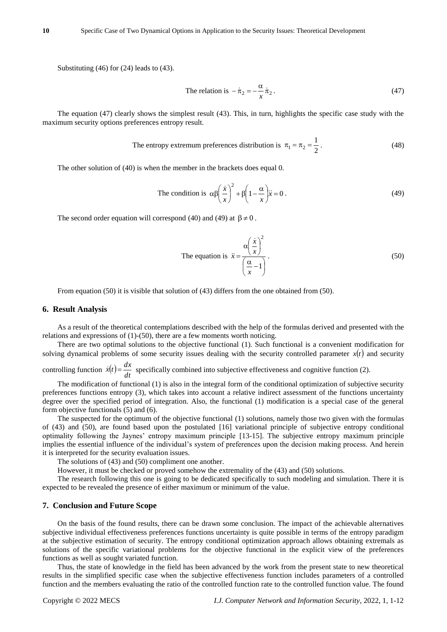Substituting (46) for (24) leads to (43).

The relation is 
$$
-\dot{\pi}_2 = -\frac{\alpha}{x}\dot{\pi}_2
$$
. (47)

The equation (47) clearly shows the simplest result (43). This, in turn, highlights the specific case study with the maximum security options preferences entropy result.

The entropy extremum preferences distribution is 
$$
\pi_1 = \pi_2 = \frac{1}{2}
$$
. (48)

The other solution of (40) is when the member in the brackets does equal 0.

The condition is 
$$
\alpha \beta \left(\frac{\dot{x}}{x}\right)^2 + \beta \left(1 - \frac{\alpha}{x}\right) \ddot{x} = 0
$$
. (49)

The second order equation will correspond (40) and (49) at  $\beta \neq 0$ .

The equation is 
$$
\ddot{x} = \frac{\alpha \left(\frac{\dot{x}}{x}\right)^2}{\left(\frac{\alpha}{x} - 1\right)}
$$
. (50)

From equation (50) it is visible that solution of (43) differs from the one obtained from (50).

#### **6. Result Analysis**

As a result of the theoretical contemplations described with the help of the formulas derived and presented with the relations and expressions of (1)-(50), there are a few moments worth noticing.

There are two optimal solutions to the objective functional (1). Such functional is a convenient modification for solving dynamical problems of some security issues dealing with the security controlled parameter  $x(t)$  and security

controlling function  $\dot{x}(t) = \frac{dA}{dt}$  $\dot{x}(t) = \frac{dx}{x}$  specifically combined into subjective effectiveness and cognitive function (2).

The modification of functional (1) is also in the integral form of the conditional optimization of subjective security preferences functions entropy (3), which takes into account a relative indirect assessment of the functions uncertainty degree over the specified period of integration. Also, the functional (1) modification is a special case of the general form objective functionals (5) and (6).

The suspected for the optimum of the objective functional (1) solutions, namely those two given with the formulas of (43) and (50), are found based upon the postulated [16] variational principle of subjective entropy conditional optimality following the Jaynes' entropy maximum principle [13-15]. The subjective entropy maximum principle implies the essential influence of the individual's system of preferences upon the decision making process. And herein it is interpreted for the security evaluation issues.

The solutions of (43) and (50) compliment one another.

However, it must be checked or proved somehow the extremality of the (43) and (50) solutions.

The research following this one is going to be dedicated specifically to such modeling and simulation. There it is expected to be revealed the presence of either maximum or minimum of the value.

### **7. Conclusion and Future Scope**

On the basis of the found results, there can be drawn some conclusion. The impact of the achievable alternatives subjective individual effectiveness preferences functions uncertainty is quite possible in terms of the entropy paradigm at the subjective estimation of security. The entropy conditional optimization approach allows obtaining extremals as solutions of the specific variational problems for the objective functional in the explicit view of the preferences functions as well as sought variated function.

Thus, the state of knowledge in the field has been advanced by the work from the present state to new theoretical results in the simplified specific case when the subjective effectiveness function includes parameters of a controlled function and the members evaluating the ratio of the controlled function rate to the controlled function value. The found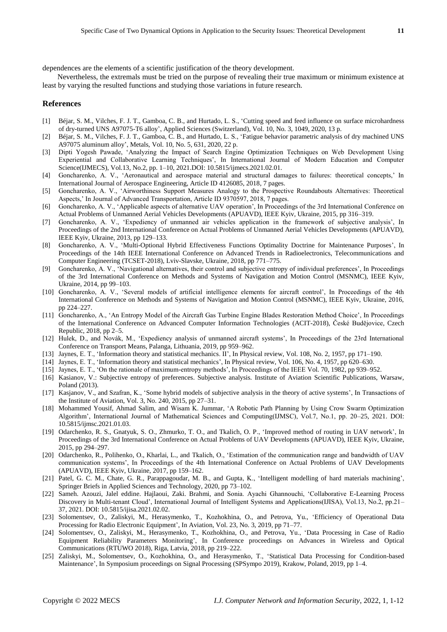dependences are the elements of a scientific justification of the theory development.

Nevertheless, the extremals must be tried on the purpose of revealing their true maximum or minimum existence at least by varying the resulted functions and studying those variations in future research.

# **References**

- [1] B éjar, S. M., [Vilches,](https://www.scopus.com/authid/detail.uri?origin=resultslist&authorId=57203025482&zone=) F. J. T., [Gamboa,](https://www.scopus.com/authid/detail.uri?origin=resultslist&authorId=57193424550&zone=) C. B., and [Hurtado,](https://www.scopus.com/authid/detail.uri?origin=resultslist&authorId=57193426345&zone=) L. S., 'Cutting speed and feed influence on surface microhardness [of dry-turned UNS A97075-T6 alloy'](https://www.scopus.com/record/display.uri?eid=2-s2.0-85081633784&origin=resultslist&sort=plf-f&cite=2-s2.0-85057040775&src=s&imp=t&sid=47a62fe82d98dbc2f811e05cf867e018&sot=cite&sdt=a&sl=0&relpos=1&citeCnt=2&searchTerm=), [Applied Sciences \(Switzerland\),](https://www.scopus.com/sourceid/21100829268?origin=resultslist) Vol. 10, No. 3, 1049, 2020, 13 p.
- [2] B gar, S. M., [Vilches,](https://www.scopus.com/authid/detail.uri?origin=resultslist&authorId=57203025482&zone=) F. J. T.[, Gamboa,](https://www.scopus.com/authid/detail.uri?origin=resultslist&authorId=57193424550&zone=) C. B., and [Hurtado,](https://www.scopus.com/authid/detail.uri?origin=resultslist&authorId=57193426345&zone=) L. S., 'Fatigue behavior parametric analysis of dry machined UNS [A97075 aluminum alloy'](https://www.scopus.com/record/display.uri?eid=2-s2.0-85085112700&origin=resultslist&sort=plf-f&cite=2-s2.0-85057040775&src=s&imp=t&sid=47a62fe82d98dbc2f811e05cf867e018&sot=cite&sdt=a&sl=0&relpos=0&citeCnt=0&searchTerm=)[, Metals,](https://www.scopus.com/sourceid/21100399731?origin=resultslist) Vol. 10, No. 5, 631, 2020, 22 p.
- [3] Dipti Yogesh Pawade, 'Analyzing the Impact of Search Engine Optimization Techniques on Web Development Using Experiential and Collaborative Learning Techniques', In International Journal of Modern Education and Computer Science(IJMECS), Vol.13, No.2, pp. 1–10, 2021.DOI: 10.5815/ijmecs.2021.02.01.
- [4] Goncharenko, A. V., 'Aeronautical and aerospace material and structural damages to failures: theoretical concepts,' In International Journal of Aerospace Engineering, Article ID 4126085, 2018, 7 pages.
- [5] Goncharenko, A. V., 'Airworthiness Support Measures Analogy to the Prospective Roundabouts Alternatives: Theoretical Aspects,' In Journal of Advanced Transportation, Article ID 9370597, 2018, 7 pages.
- [6] Goncharenko, A. V., 'Applicable aspects of alternative UAV operation', In Proceedings of the 3rd International Conference on Actual Problems of Unmanned Aerial Vehicles Developments (APUAVD), IEEE Kyiv, Ukraine, 2015, pp 316–319.
- [7] Goncharenko, A. V., 'Expediency of unmanned air vehicles application in the framework of subjective analysis', In Proceedings of the 2nd International Conference on Actual Problems of Unmanned Aerial Vehicles Developments (APUAVD), IEEE Kyiv, Ukraine, 2013, pp 129–133.
- [8] Goncharenko, A. V., 'Multi-Optional Hybrid Effectiveness Functions Optimality Doctrine for Maintenance Purposes', In Proceedings of the 14th IEEE International Conference on Advanced Trends in Radioelectronics, Telecommunications and Computer Engineering (TCSET-2018), Lviv-Slavske, Ukraine, 2018, pp 771–775.
- [9] Goncharenko, A. V., 'Navigational alternatives, their control and subjective entropy of individual preferences', In Proceedings of the 3rd International Conference on Methods and Systems of Navigation and Motion Control (MSNMC), IEEE Kyiv, Ukraine, 2014, pp 99–103.
- [10] Goncharenko, A. V., 'Several models of artificial intelligence elements for aircraft control', In Proceedings of the 4th International Conference on Methods and Systems of Navigation and Motion Control (MSNMC), IEEE Kyiv, Ukraine, 2016, pp 224–227.
- [11] Goncharenko, A., 'An Entropy Model of the Aircraft Gas Turbine Engine Blades Restoration Method Choice', In Proceedings of the International Conference on Advanced Computer Information Technologies (ACIT-2018), České Budějovice, Czech Republic, 2018, pp 2–5.
- [12] Hulek, D., and Novák, M., 'Expediency analysis of unmanned aircraft systems', In Proceedings of the 23rd International Conference on Transport Means, Palanga, Lithuania, 2019, pp 959–962.
- [13] Jaynes, E. T., ['Information theory and statistical mechanics.](http://bayes.wustl.edu/etj/articles/theory.1.pdf) II', In Physical review, Vol. 108, No. 2, 1957, pp 171–190.
- [14] Jaynes, E. T., ['Information theory and statistical mechanics'](http://bayes.wustl.edu/etj/articles/theory.1.pdf), In Physical review, Vol. 106, No. 4, 1957, pp 620–630.
- [15] Jaynes, E. T., 'On the rationale of maximum-entropy methods', In Proceedings of the IEEE Vol. 70, 1982, pp 939–952.
- [16] Kasianov, V.: Subjective entropy of preferences. Subjective analysis. Institute of Aviation Scientific Publications, Warsaw, Poland (2013).
- [17] Kasjanov, V., and Szafran, K., ['Some hybrid models of subjective analysis in the theory of active systems'](https://www.infona.pl/resource/bwmeta1.element.baztech-6729268f-5fb6-4942-b7a5-5e6fc9262df1/content/partDownload/190e8c50-b12e-341c-aa13-bc380a1b5914), In Transactions of the Institute of Aviation, Vol. 3, No. 240, 2015, pp 27–31.
- [18] Mohammed Yousif, Ahmad Salim, and Wisam K. Jummar, 'A Robotic Path Planning by Using Crow Swarm Optimization Algorithm', International Journal of Mathematical Sciences and Computing(IJMSC), Vol.7, No.1, pp. 20–25, 2021. DOI: 10.5815/ijmsc.2021.01.03.
- [19] Odarchenko, R. S., Gnatyuk, S. O., Zhmurko, T. O., and Tkalich, O. P., 'Improved method of routing in UAV network', In Proceedings of the 3rd International Conference on Actual Problems of UAV Developments (APUAVD), IEEE Kyiv, Ukraine, 2015, pp 294–297.
- [20] Odarchenko, R., Polihenko, O., Kharlai, L., and Tkalich, O., 'Estimation of the communication range and bandwidth of UAV communication systems', In Proceedings of the 4th International Conference on Actual Problems of UAV Developments (APUAVD), IEEE Kyiv, Ukraine, 2017, pp 159–162.
- [21] [Patel,](https://www.scopus.com/authid/detail.uri?origin=resultslist&authorId=57189876094&zone=) G. C. M., [Chate,](https://www.scopus.com/authid/detail.uri?origin=resultslist&authorId=57195038049&zone=) G. R., [Parappagoudar,](https://www.scopus.com/authid/detail.uri?origin=resultslist&authorId=17346922500&zone=) M. B., and [Gupta,](https://www.scopus.com/authid/detail.uri?origin=resultslist&authorId=8051442300&zone=) K., 'Intelligent modelling of [hard materials machining'](https://www.scopus.com/record/display.uri?eid=2-s2.0-85079620835&origin=resultslist&sort=plf-f&cite=2-s2.0-85010402980&src=s&imp=t&sid=6baaae5773a5ccbf997f8753442eac56&sot=cite&sdt=a&sl=0&relpos=0&citeCnt=0&searchTerm=), [Springer Briefs in Applied Sciences and Technology,](https://www.scopus.com/sourceid/21100321695?origin=resultslist) 2020, pp 73–102.
- [22] Sameh. Azouzi, Jalel eddine. Hajlaoui, Zaki. Brahmi, and Sonia. Ayachi Ghannouchi, 'Collaborative E-Learning Process Discovery in Multi-tenant Cloud', International Journal of Intelligent Systems and Applications(IJISA), Vol.13, No.2, pp.21– 37, 2021. DOI: 10.5815/ijisa.2021.02.02.
- [23] Solomentsev, O., Zaliskyi, M., Herasymenko, T., [Kozhokhina,](https://journals.vgtu.lt/index.php/Aviation/search/search?field=author&criteria=Olena%20Kozhokhina) O., and Petrova, Yu., 'Efficiency of Operational Data Processing for Radio Electronic Equipment', In Aviation, Vol. 23, No. 3, 2019, pp 71–77.
- [24] Solomentsev, O., Zaliskyi, M., Herasymenko, T., Kozhokhina, O., and Petrova, Yu., 'Data Processing in Case of Radio Equipment Reliability Parameters Monitoring', In Conference proceedings on Advances in Wireless and Optical Communications (RTUWO 2018), Riga, Latvia, 2018, pp 219–222.
- [25] Zaliskyi, M., Solomentsev, O., Kozhokhina, O., and Herasymenko, T., 'Statistical Data Processing for Condition-based Maintenance', In Symposium proceedings on Signal Processing (SPSympo 2019), Krakow, Poland, 2019, pp 1–4.